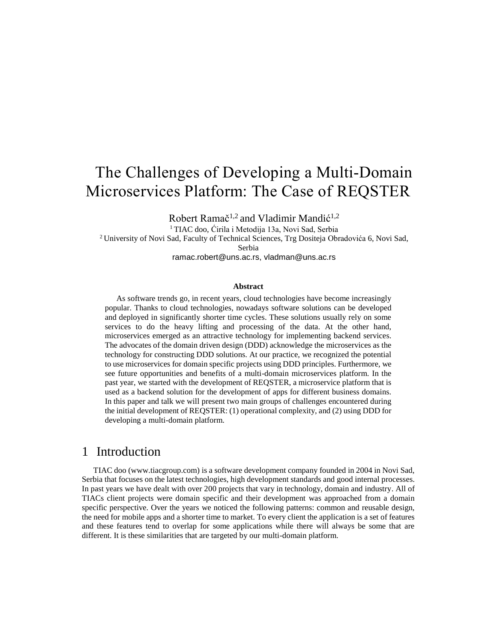# The Challenges of Developing a Multi-Domain Microservices Platform: The Case of REQSTER

Robert Ramač<sup>1,2</sup> and Vladimir Mandić<sup>1,2</sup>

<sup>1</sup> TIAC doo, Ćirila i Metodija 13a, Novi Sad, Serbia

<sup>2</sup> University of Novi Sad, Faculty of Technical Sciences, Trg Dositeja Obradovića 6, Novi Sad, Serbia

ramac.robert@uns.ac.rs, vladman@uns.ac.rs

#### **Abstract**

As software trends go, in recent years, cloud technologies have become increasingly popular. Thanks to cloud technologies, nowadays software solutions can be developed and deployed in significantly shorter time cycles. These solutions usually rely on some services to do the heavy lifting and processing of the data. At the other hand, microservices emerged as an attractive technology for implementing backend services. The advocates of the domain driven design (DDD) acknowledge the microservices as the technology for constructing DDD solutions. At our practice, we recognized the potential to use microservices for domain specific projects using DDD principles. Furthermore, we see future opportunities and benefits of a multi-domain microservices platform. In the past year, we started with the development of REQSTER, a microservice platform that is used as a backend solution for the development of apps for different business domains. In this paper and talk we will present two main groups of challenges encountered during the initial development of REQSTER: (1) operational complexity, and (2) using DDD for developing a multi-domain platform.

### 1 Introduction

TIAC doo (www.tiacgroup.com) is a software development company founded in 2004 in Novi Sad, Serbia that focuses on the latest technologies, high development standards and good internal processes. In past years we have dealt with over 200 projects that vary in technology, domain and industry. All of TIACs client projects were domain specific and their development was approached from a domain specific perspective. Over the years we noticed the following patterns: common and reusable design, the need for mobile apps and a shorter time to market. To every client the application is a set of features and these features tend to overlap for some applications while there will always be some that are different. It is these similarities that are targeted by our multi-domain platform.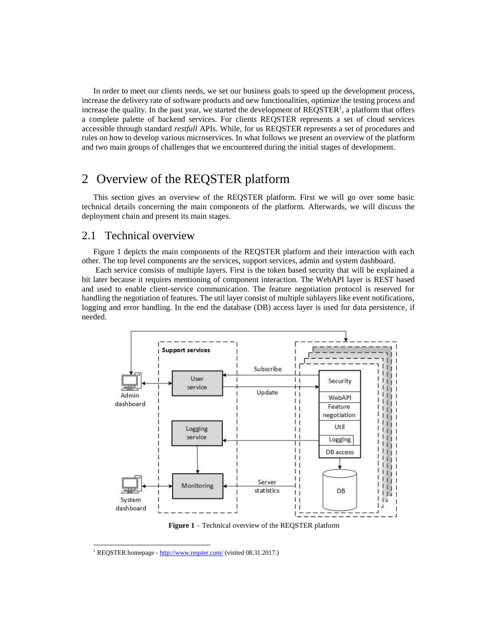In order to meet our clients needs, we set our business goals to speed up the development process, increase the delivery rate of software products and new functionalities, optimize the testing process and increase the quality. In the past year, we started the development of  $REQSTER<sup>1</sup>$ , a platform that offers a complete palette of backend services. For clients REQSTER represents a set of cloud services accessible through standard *restfull* APIs. While, for us REQSTER represents a set of procedures and rules on how to develop various microservices. In what follows we present an overview of the platform and two main groups of challenges that we encountered during the initial stages of development.

### 2 Overview of the REQSTER platform

This section gives an overview of the REQSTER platform. First we will go over some basic technical details concerning the main components of the platform. Afterwards, we will discuss the deployment chain and present its main stages.

### 2.1 Technical overview

[Figure](#page-1-0) 1 depicts the main components of the REQSTER platform and their interaction with each other. The top level components are the services, support services, admin and system dashboard.

Each service consists of multiple layers. First is the token based security that will be explained a bit later because it requires mentioning of component interaction. The WebAPI layer is REST based and used to enable client-service communication. The feature negotiation protocol is reserved for handling the negotiation of features. The util layer consist of multiple sublayers like event notifications, logging and error handling. In the end the database (DB) access layer is used for data persistence, if needed.



**Figure 1** – Technical overview of the REQSTER platform

<span id="page-1-0"></span>l

<sup>&</sup>lt;sup>1</sup> REQSTER homepage - <http://www.reqster.com/> (visited 08.31.2017.)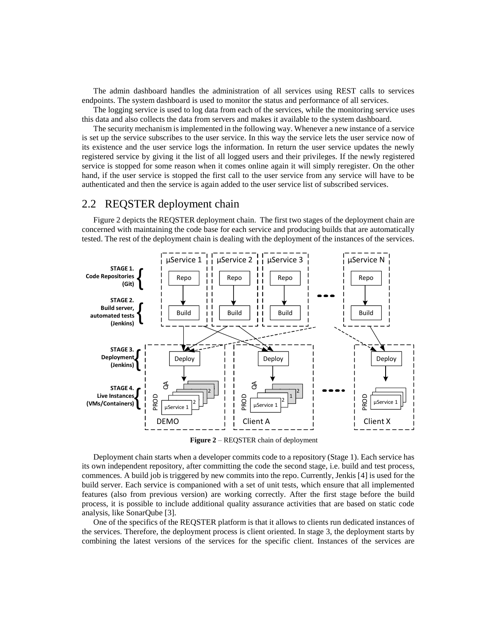The admin dashboard handles the administration of all services using REST calls to services endpoints. The system dashboard is used to monitor the status and performance of all services.

The logging service is used to log data from each of the services, while the monitoring service uses this data and also collects the data from servers and makes it available to the system dashboard.

The security mechanism is implemented in the following way. Whenever a new instance of a service is set up the service subscribes to the user service. In this way the service lets the user service now of its existence and the user service logs the information. In return the user service updates the newly registered service by giving it the list of all logged users and their privileges. If the newly registered service is stopped for some reason when it comes online again it will simply reregister. On the other hand, if the user service is stopped the first call to the user service from any service will have to be authenticated and then the service is again added to the user service list of subscribed services.

### 2.2 REQSTER deployment chain

[Figure 2](#page-2-0) depicts the REQSTER deployment chain. The first two stages of the deployment chain are concerned with maintaining the code base for each service and producing builds that are automatically tested. The rest of the deployment chain is dealing with the deployment of the instances of the services.



**Figure 2** – REQSTER chain of deployment

<span id="page-2-0"></span>Deployment chain starts when a developer commits code to a repository (Stage 1). Each service has its own independent repository, after committing the code the second stage, i.e. build and test process, commences. A build job is triggered by new commits into the repo. Currently, Jenkis [4] is used for the build server. Each service is companioned with a set of unit tests, which ensure that all implemented features (also from previous version) are working correctly. After the first stage before the build process, it is possible to include additional quality assurance activities that are based on static code analysis, like SonarQube [3].

One of the specifics of the REQSTER platform is that it allows to clients run dedicated instances of the services. Therefore, the deployment process is client oriented. In stage 3, the deployment starts by combining the latest versions of the services for the specific client. Instances of the services are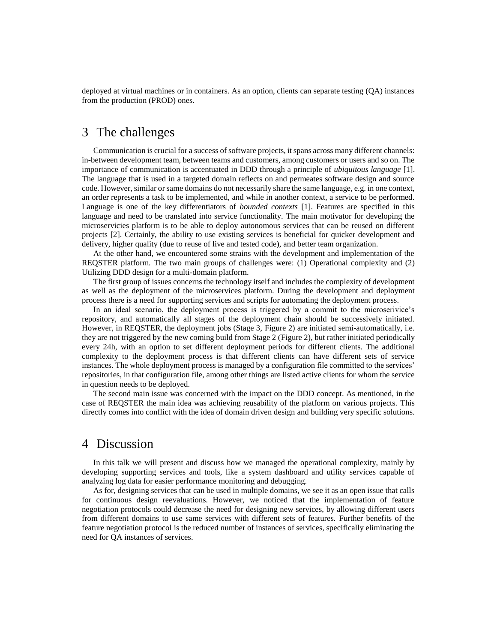deployed at virtual machines or in containers. As an option, clients can separate testing (QA) instances from the production (PROD) ones.

### 3 The challenges

Communication is crucial for a success of software projects, it spans across many different channels: in-between development team, between teams and customers, among customers or users and so on. The importance of communication is accentuated in DDD through a principle of *ubiquitous language* [1]. The language that is used in a targeted domain reflects on and permeates software design and source code. However, similar or same domains do not necessarily share the same language, e.g. in one context, an order represents a task to be implemented, and while in another context, a service to be performed. Language is one of the key differentiators of *bounded contexts* [1]. Features are specified in this language and need to be translated into service functionality. The main motivator for developing the microservicies platform is to be able to deploy autonomous services that can be reused on different projects [2]. Certainly, the ability to use existing services is beneficial for quicker development and delivery, higher quality (due to reuse of live and tested code), and better team organization.

At the other hand, we encountered some strains with the development and implementation of the REQSTER platform. The two main groups of challenges were: (1) Operational complexity and (2) Utilizing DDD design for a multi-domain platform.

The first group of issues concerns the technology itself and includes the complexity of development well as the deployment of the microservices platform. During the development and deployment process there is a need for supporting services and scripts for automating the deployment process.

In an ideal scenario, the deployment process is triggered by a commit to the microserivice's repository, and automatically all stages of the deployment chain should be successively initiated. However, in REQSTER, the deployment jobs (Stage 3, [Figure 2\)](#page-2-0) are initiated semi-automatically, i.e. they are not triggered by the new coming build from Stage 2 [\(Figure 2\)](#page-2-0), but rather initiated periodically every 24h, with an option to set different deployment periods for different clients. The additional complexity to the deployment process is that different clients can have different sets of service instances. The whole deployment process is managed by a configuration file committed to the services' repositories, in that configuration file, among other things are listed active clients for whom the service in question needs to be deployed.

The second main issue was concerned with the impact on the DDD concept. As mentioned, in the case of REQSTER the main idea was achieving reusability of the platform on various projects. This directly comes into conflict with the idea of domain driven design and building very specific solutions.

### 4 Discussion

In this talk we will present and discuss how we managed the operational complexity, mainly by developing supporting services and tools, like a system dashboard and utility services capable of analyzing log data for easier performance monitoring and debugging.

As for, designing services that can be used in multiple domains, we see it as an open issue that calls for continuous design reevaluations. However, we noticed that the implementation of feature negotiation protocols could decrease the need for designing new services, by allowing different users from different domains to use same services with different sets of features. Further benefits of the feature negotiation protocol is the reduced number of instances of services, specifically eliminating the need for QA instances of services.